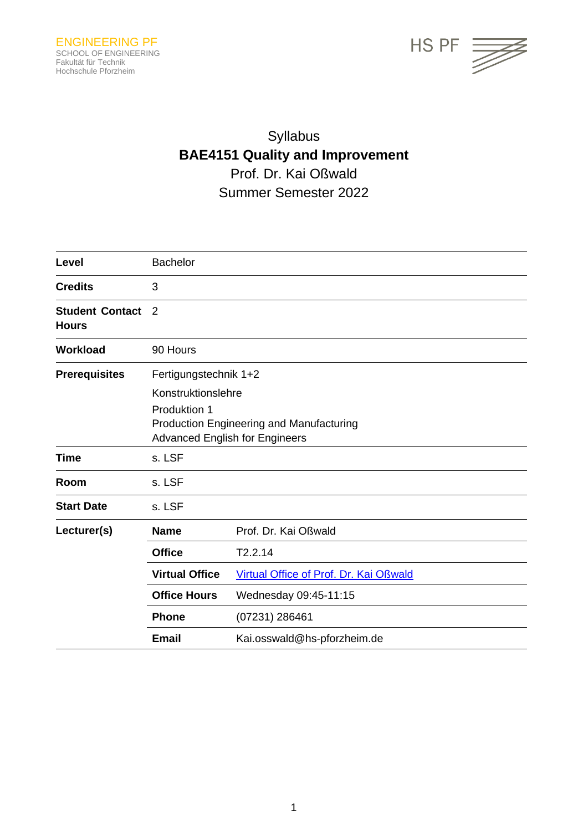

# Syllabus **BAE4151 Quality and Improvement** Prof. Dr. Kai Oßwald Summer Semester 2022

| Level                                  | <b>Bachelor</b>                                                                                                                                         |                                        |  |
|----------------------------------------|---------------------------------------------------------------------------------------------------------------------------------------------------------|----------------------------------------|--|
| <b>Credits</b>                         | 3                                                                                                                                                       |                                        |  |
| <b>Student Contact</b><br><b>Hours</b> | 2                                                                                                                                                       |                                        |  |
| <b>Workload</b>                        | 90 Hours                                                                                                                                                |                                        |  |
| <b>Prerequisites</b>                   | Fertigungstechnik 1+2<br>Konstruktionslehre<br>Produktion 1<br><b>Production Engineering and Manufacturing</b><br><b>Advanced English for Engineers</b> |                                        |  |
| <b>Time</b>                            | s. LSF                                                                                                                                                  |                                        |  |
| Room                                   | s. LSF                                                                                                                                                  |                                        |  |
| <b>Start Date</b>                      | s. LSF                                                                                                                                                  |                                        |  |
| Lecturer(s)                            | <b>Name</b>                                                                                                                                             | Prof. Dr. Kai Oßwald                   |  |
|                                        | <b>Office</b>                                                                                                                                           | T2.2.14                                |  |
|                                        | <b>Virtual Office</b>                                                                                                                                   | Virtual Office of Prof. Dr. Kai Oßwald |  |
|                                        | <b>Office Hours</b>                                                                                                                                     | Wednesday 09:45-11:15                  |  |
|                                        | <b>Phone</b>                                                                                                                                            | (07231) 286461                         |  |
|                                        | <b>Email</b>                                                                                                                                            | Kai.osswald@hs-pforzheim.de            |  |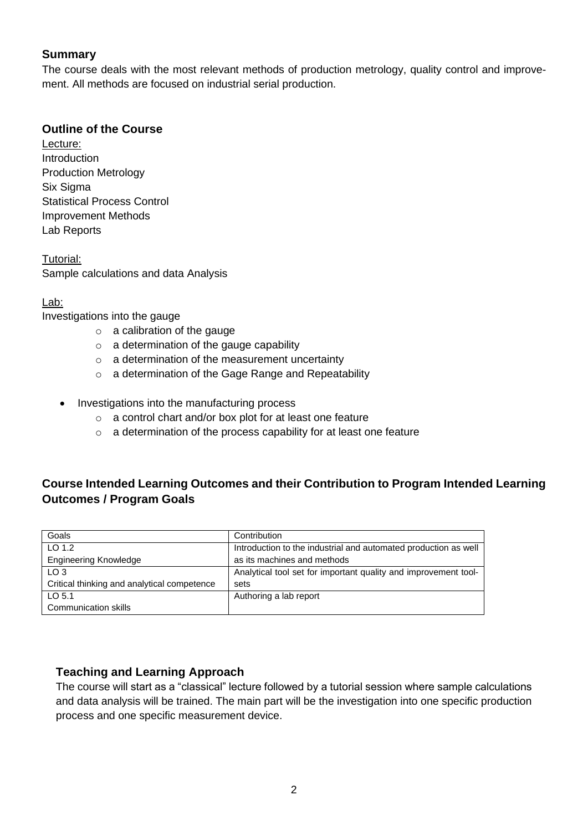#### **Summary**

The course deals with the most relevant methods of production metrology, quality control and improvement. All methods are focused on industrial serial production.

#### **Outline of the Course**

Lecture: **Introduction** Production Metrology Six Sigma Statistical Process Control Improvement Methods Lab Reports

Tutorial: Sample calculations and data Analysis

#### Lab:

Investigations into the gauge

- o a calibration of the gauge
- $\circ$  a determination of the gauge capability
- $\circ$  a determination of the measurement uncertainty
- o a determination of the Gage Range and Repeatability
- Investigations into the manufacturing process
	- o a control chart and/or box plot for at least one feature
	- o a determination of the process capability for at least one feature

# **Course Intended Learning Outcomes and their Contribution to Program Intended Learning Outcomes / Program Goals**

| Goals                                       | Contribution                                                    |
|---------------------------------------------|-----------------------------------------------------------------|
| $LO$ 1.2                                    | Introduction to the industrial and automated production as well |
| <b>Engineering Knowledge</b>                | as its machines and methods                                     |
| LO <sub>3</sub>                             | Analytical tool set for important quality and improvement tool- |
| Critical thinking and analytical competence | sets                                                            |
| LO $5.1$                                    | Authoring a lab report                                          |
| Communication skills                        |                                                                 |

#### **Teaching and Learning Approach**

The course will start as a "classical" lecture followed by a tutorial session where sample calculations and data analysis will be trained. The main part will be the investigation into one specific production process and one specific measurement device.